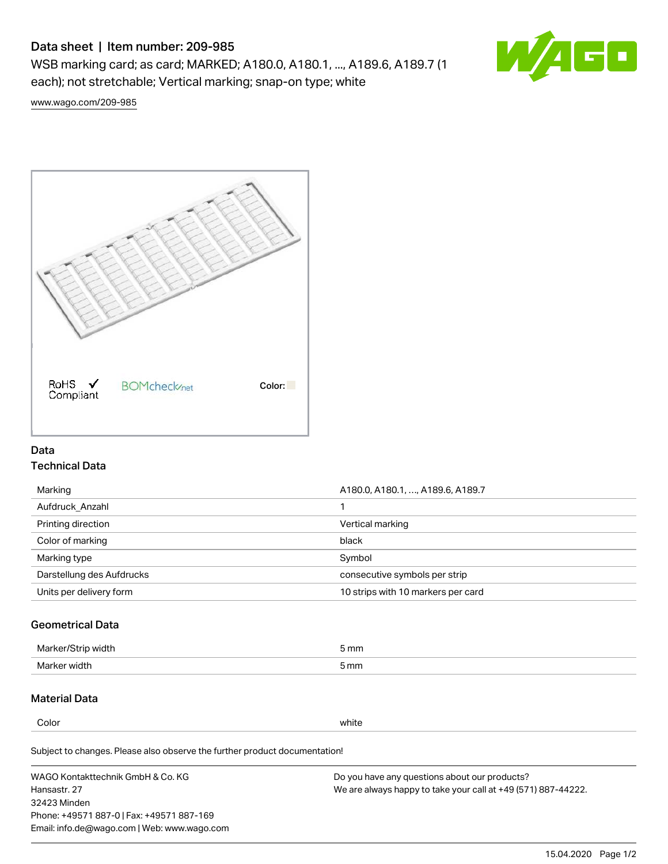# Data sheet | Item number: 209-985

WSB marking card; as card; MARKED; A180.0, A180.1, ..., A189.6, A189.7 (1 each); not stretchable; Vertical marking; snap-on type; white



[www.wago.com/209-985](http://www.wago.com/209-985)



## Data Technical Data

| Marking                   | A180.0, A180.1, , A189.6, A189.7   |
|---------------------------|------------------------------------|
| Aufdruck Anzahl           |                                    |
| Printing direction        | Vertical marking                   |
| Color of marking          | black                              |
| Marking type              | Symbol                             |
| Darstellung des Aufdrucks | consecutive symbols per strip      |
| Units per delivery form   | 10 strips with 10 markers per card |

## Geometrical Data

| width        | i mm |
|--------------|------|
| Marker/      | -    |
| Marker width | 5 mm |

# Material Data

Color white

Subject to changes. Please also observe the further product documentation!

WAGO Kontakttechnik GmbH & Co. KG Hansastr. 27 32423 Minden Phone: +49571 887-0 | Fax: +49571 887-169 Email: info.de@wago.com | Web: www.wago.com Do you have any questions about our products? We are always happy to take your call at +49 (571) 887-44222.